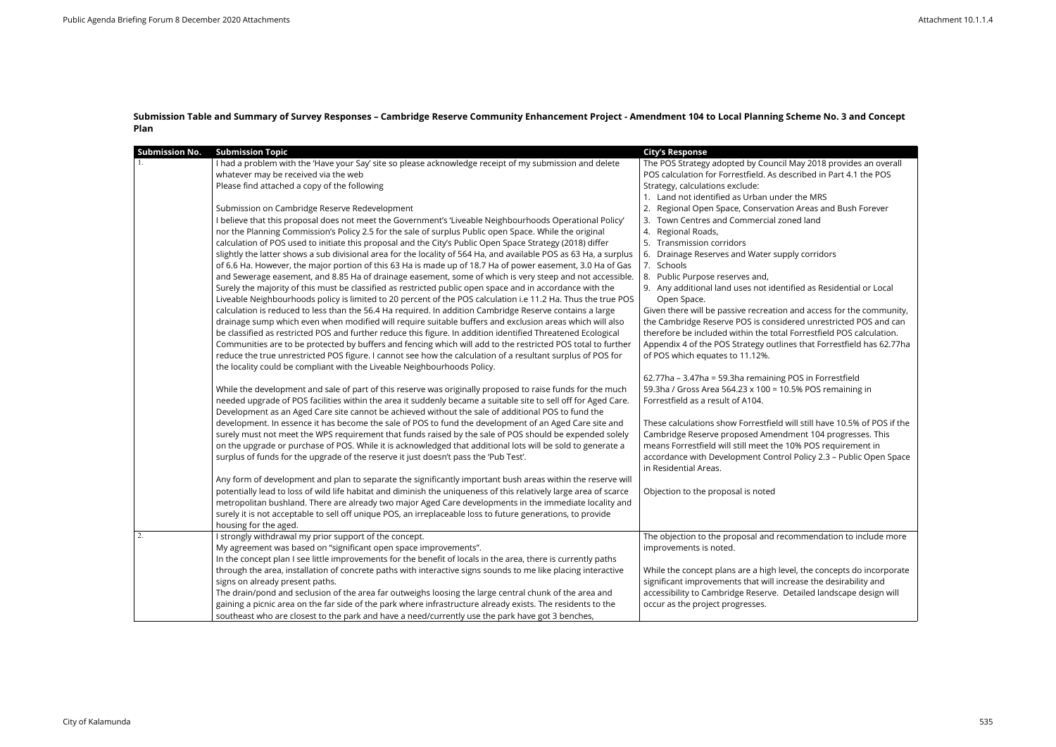## **Submission Table and Summary of Survey Responses – Cambridge Reserve Community Enhancement Project - Amendment 104 to Local Planning Scheme No. 3 and Concept Plan**

| <b>Submission No.</b> | <b>Submission Topic</b>                                                                                                                                                                                                                                                                                                                                                                                                                                                                                                                                                                                                                                                                                                                                                                                                                                                                                                                                                                                                                                                                                                                                                                                                                                                                                                                                                                                                                                                                                                                                                                                                                                                                                                                 | <b>City's Response</b>                                                                                                                                                                                                                                                                                                                                                                                                                                                                                                                                                                                                                                                                                                                                                                                                                                                                                    |
|-----------------------|-----------------------------------------------------------------------------------------------------------------------------------------------------------------------------------------------------------------------------------------------------------------------------------------------------------------------------------------------------------------------------------------------------------------------------------------------------------------------------------------------------------------------------------------------------------------------------------------------------------------------------------------------------------------------------------------------------------------------------------------------------------------------------------------------------------------------------------------------------------------------------------------------------------------------------------------------------------------------------------------------------------------------------------------------------------------------------------------------------------------------------------------------------------------------------------------------------------------------------------------------------------------------------------------------------------------------------------------------------------------------------------------------------------------------------------------------------------------------------------------------------------------------------------------------------------------------------------------------------------------------------------------------------------------------------------------------------------------------------------------|-----------------------------------------------------------------------------------------------------------------------------------------------------------------------------------------------------------------------------------------------------------------------------------------------------------------------------------------------------------------------------------------------------------------------------------------------------------------------------------------------------------------------------------------------------------------------------------------------------------------------------------------------------------------------------------------------------------------------------------------------------------------------------------------------------------------------------------------------------------------------------------------------------------|
|                       | I had a problem with the 'Have your Say' site so please acknowledge receipt of my submission and delete<br>whatever may be received via the web<br>Please find attached a copy of the following<br>Submission on Cambridge Reserve Redevelopment<br>I believe that this proposal does not meet the Government's 'Liveable Neighbourhoods Operational Policy'<br>nor the Planning Commission's Policy 2.5 for the sale of surplus Public open Space. While the original<br>calculation of POS used to initiate this proposal and the City's Public Open Space Strategy (2018) differ<br>slightly the latter shows a sub divisional area for the locality of 564 Ha, and available POS as 63 Ha, a surplus<br>of 6.6 Ha. However, the major portion of this 63 Ha is made up of 18.7 Ha of power easement, 3.0 Ha of Gas<br>and Sewerage easement, and 8.85 Ha of drainage easement, some of which is very steep and not accessible.<br>Surely the majority of this must be classified as restricted public open space and in accordance with the<br>Liveable Neighbourhoods policy is limited to 20 percent of the POS calculation i.e 11.2 Ha. Thus the true POS<br>calculation is reduced to less than the 56.4 Ha required. In addition Cambridge Reserve contains a large<br>drainage sump which even when modified will require suitable buffers and exclusion areas which will also<br>be classified as restricted POS and further reduce this figure. In addition identified Threatened Ecological<br>Communities are to be protected by buffers and fencing which will add to the restricted POS total to further<br>reduce the true unrestricted POS figure. I cannot see how the calculation of a resultant surplus of POS for | The POS Strategy adopted by Council May 2018 provides an overall<br>POS calculation for Forrestfield. As described in Part 4.1 the POS<br>Strategy, calculations exclude:<br>1. Land not identified as Urban under the MRS<br>Regional Open Space, Conservation Areas and Bush Forever<br>Town Centres and Commercial zoned land<br>Regional Roads,<br>4.<br>Transmission corridors<br>Drainage Reserves and Water supply corridors<br>7. Schools<br>8. Public Purpose reserves and,<br>9. Any additional land uses not identified as Residential or Local<br>Open Space.<br>Given there will be passive recreation and access for the community,<br>the Cambridge Reserve POS is considered unrestricted POS and can<br>therefore be included within the total Forrestfield POS calculation.<br>Appendix 4 of the POS Strategy outlines that Forrestfield has 62.77ha<br>of POS which equates to 11.12%. |
|                       | the locality could be compliant with the Liveable Neighbourhoods Policy.<br>While the development and sale of part of this reserve was originally proposed to raise funds for the much<br>needed upgrade of POS facilities within the area it suddenly became a suitable site to sell off for Aged Care.<br>Development as an Aged Care site cannot be achieved without the sale of additional POS to fund the<br>development. In essence it has become the sale of POS to fund the development of an Aged Care site and<br>surely must not meet the WPS requirement that funds raised by the sale of POS should be expended solely<br>on the upgrade or purchase of POS. While it is acknowledged that additional lots will be sold to generate a<br>surplus of funds for the upgrade of the reserve it just doesn't pass the 'Pub Test'.<br>Any form of development and plan to separate the significantly important bush areas within the reserve will<br>potentially lead to loss of wild life habitat and diminish the uniqueness of this relatively large area of scarce                                                                                                                                                                                                                                                                                                                                                                                                                                                                                                                                                                                                                                                          | 62.77ha - 3.47ha = 59.3ha remaining POS in Forrestfield<br>59.3ha / Gross Area 564.23 x 100 = 10.5% POS remaining in<br>Forrestfield as a result of A104.<br>These calculations show Forrestfield will still have 10.5% of POS if the<br>Cambridge Reserve proposed Amendment 104 progresses. This<br>means Forrestfield will still meet the 10% POS requirement in<br>accordance with Development Control Policy 2.3 - Public Open Space<br>in Residential Areas.<br>Objection to the proposal is noted                                                                                                                                                                                                                                                                                                                                                                                                  |
|                       | metropolitan bushland. There are already two major Aged Care developments in the immediate locality and<br>surely it is not acceptable to sell off unique POS, an irreplaceable loss to future generations, to provide<br>housing for the aged.                                                                                                                                                                                                                                                                                                                                                                                                                                                                                                                                                                                                                                                                                                                                                                                                                                                                                                                                                                                                                                                                                                                                                                                                                                                                                                                                                                                                                                                                                         |                                                                                                                                                                                                                                                                                                                                                                                                                                                                                                                                                                                                                                                                                                                                                                                                                                                                                                           |
| 2.                    | I strongly withdrawal my prior support of the concept.<br>My agreement was based on "significant open space improvements".<br>In the concept plan I see little improvements for the benefit of locals in the area, there is currently paths<br>through the area, installation of concrete paths with interactive signs sounds to me like placing interactive<br>signs on already present paths.<br>The drain/pond and seclusion of the area far outweighs loosing the large central chunk of the area and<br>gaining a picnic area on the far side of the park where infrastructure already exists. The residents to the<br>southeast who are closest to the park and have a need/currently use the park have got 3 benches,                                                                                                                                                                                                                                                                                                                                                                                                                                                                                                                                                                                                                                                                                                                                                                                                                                                                                                                                                                                                            | The objection to the proposal and recommendation to include more<br>improvements is noted.<br>While the concept plans are a high level, the concepts do incorporate<br>significant improvements that will increase the desirability and<br>accessibility to Cambridge Reserve. Detailed landscape design will<br>occur as the project progresses.                                                                                                                                                                                                                                                                                                                                                                                                                                                                                                                                                         |

| lay 2018 provides an overall<br>ribed in Part 4.1 the POS:                                                                     |
|--------------------------------------------------------------------------------------------------------------------------------|
| the MRS<br>Areas and Bush Forever<br>d land!                                                                                   |
| y corridors                                                                                                                    |
| ed as Residential or Local                                                                                                     |
| nd access for the community,<br>ed unrestricted POS and can<br>orrestfield POS calculation.<br>s that Forrestfield has 62.77ha |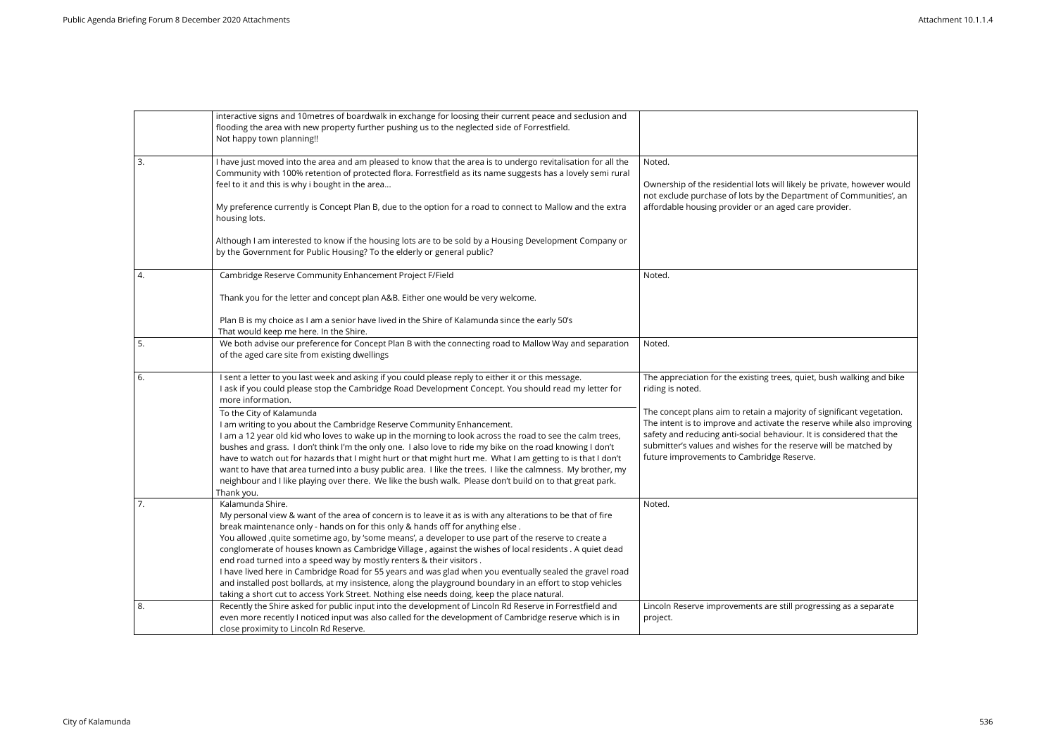|                | interactive signs and 10metres of boardwalk in exchange for loosing their current peace and seclusion and<br>flooding the area with new property further pushing us to the neglected side of Forrestfield.<br>Not happy town planning!!                                                                                                                                                                                                               |                                                                                                                                                                                                                         |
|----------------|-------------------------------------------------------------------------------------------------------------------------------------------------------------------------------------------------------------------------------------------------------------------------------------------------------------------------------------------------------------------------------------------------------------------------------------------------------|-------------------------------------------------------------------------------------------------------------------------------------------------------------------------------------------------------------------------|
| 3.             | I have just moved into the area and am pleased to know that the area is to undergo revitalisation for all the<br>Community with 100% retention of protected flora. Forrestfield as its name suggests has a lovely semi rural<br>feel to it and this is why i bought in the area                                                                                                                                                                       | Noted.<br>Ownership of the residential lots will likely be private, however would<br>not exclude purchase of lots by the Department of Communities', an                                                                 |
|                | My preference currently is Concept Plan B, due to the option for a road to connect to Mallow and the extra<br>housing lots.                                                                                                                                                                                                                                                                                                                           | affordable housing provider or an aged care provider.                                                                                                                                                                   |
|                | Although I am interested to know if the housing lots are to be sold by a Housing Development Company or<br>by the Government for Public Housing? To the elderly or general public?                                                                                                                                                                                                                                                                    |                                                                                                                                                                                                                         |
| 4.             | Cambridge Reserve Community Enhancement Project F/Field                                                                                                                                                                                                                                                                                                                                                                                               | Noted.                                                                                                                                                                                                                  |
|                | Thank you for the letter and concept plan A&B. Either one would be very welcome.                                                                                                                                                                                                                                                                                                                                                                      |                                                                                                                                                                                                                         |
|                | Plan B is my choice as I am a senior have lived in the Shire of Kalamunda since the early 50's<br>That would keep me here. In the Shire.                                                                                                                                                                                                                                                                                                              |                                                                                                                                                                                                                         |
| 5.             | We both advise our preference for Concept Plan B with the connecting road to Mallow Way and separation<br>of the aged care site from existing dwellings                                                                                                                                                                                                                                                                                               | Noted.                                                                                                                                                                                                                  |
| 6.             | I sent a letter to you last week and asking if you could please reply to either it or this message.<br>I ask if you could please stop the Cambridge Road Development Concept. You should read my letter for<br>more information.                                                                                                                                                                                                                      | The appreciation for the existing trees, quiet, bush walking and bike<br>riding is noted.                                                                                                                               |
|                | To the City of Kalamunda<br>I am writing to you about the Cambridge Reserve Community Enhancement.<br>I am a 12 year old kid who loves to wake up in the morning to look across the road to see the calm trees,                                                                                                                                                                                                                                       | The concept plans aim to retain a majority of significant vegetation.<br>The intent is to improve and activate the reserve while also improving<br>safety and reducing anti-social behaviour. It is considered that the |
|                | bushes and grass. I don't think I'm the only one. I also love to ride my bike on the road knowing I don't<br>have to watch out for hazards that I might hurt or that might hurt me. What I am getting to is that I don't<br>want to have that area turned into a busy public area. I like the trees. I like the calmness. My brother, my<br>neighbour and I like playing over there. We like the bush walk. Please don't build on to that great park. | submitter's values and wishes for the reserve will be matched by<br>future improvements to Cambridge Reserve.                                                                                                           |
| $\overline{7}$ | Thank you.<br>Kalamunda Shire.                                                                                                                                                                                                                                                                                                                                                                                                                        | Noted.                                                                                                                                                                                                                  |
|                | My personal view & want of the area of concern is to leave it as is with any alterations to be that of fire<br>break maintenance only - hands on for this only & hands off for anything else.                                                                                                                                                                                                                                                         |                                                                                                                                                                                                                         |
|                | You allowed , quite sometime ago, by 'some means', a developer to use part of the reserve to create a<br>conglomerate of houses known as Cambridge Village, against the wishes of local residents . A quiet dead                                                                                                                                                                                                                                      |                                                                                                                                                                                                                         |
|                | end road turned into a speed way by mostly renters & their visitors.                                                                                                                                                                                                                                                                                                                                                                                  |                                                                                                                                                                                                                         |
|                | I have lived here in Cambridge Road for 55 years and was glad when you eventually sealed the gravel road<br>and installed post bollards, at my insistence, along the playground boundary in an effort to stop vehicles                                                                                                                                                                                                                                |                                                                                                                                                                                                                         |
|                | taking a short cut to access York Street. Nothing else needs doing, keep the place natural.                                                                                                                                                                                                                                                                                                                                                           |                                                                                                                                                                                                                         |
| 8.             | Recently the Shire asked for public input into the development of Lincoln Rd Reserve in Forrestfield and<br>even more recently I noticed input was also called for the development of Cambridge reserve which is in                                                                                                                                                                                                                                   | Lincoln Reserve improvements are still progressing as a separate<br>project.                                                                                                                                            |
|                | close proximity to Lincoln Rd Reserve.                                                                                                                                                                                                                                                                                                                                                                                                                |                                                                                                                                                                                                                         |

| ly be private, however would<br>artment of Communities', an<br>care provider.                                                      |
|------------------------------------------------------------------------------------------------------------------------------------|
|                                                                                                                                    |
|                                                                                                                                    |
| uiet, bush walking and bike                                                                                                        |
| ty of significant vegetation.<br>reserve while also improving<br>r. It is considered that the<br>serve will be matched by<br>erve. |
|                                                                                                                                    |
|                                                                                                                                    |
| rogressing as a separate                                                                                                           |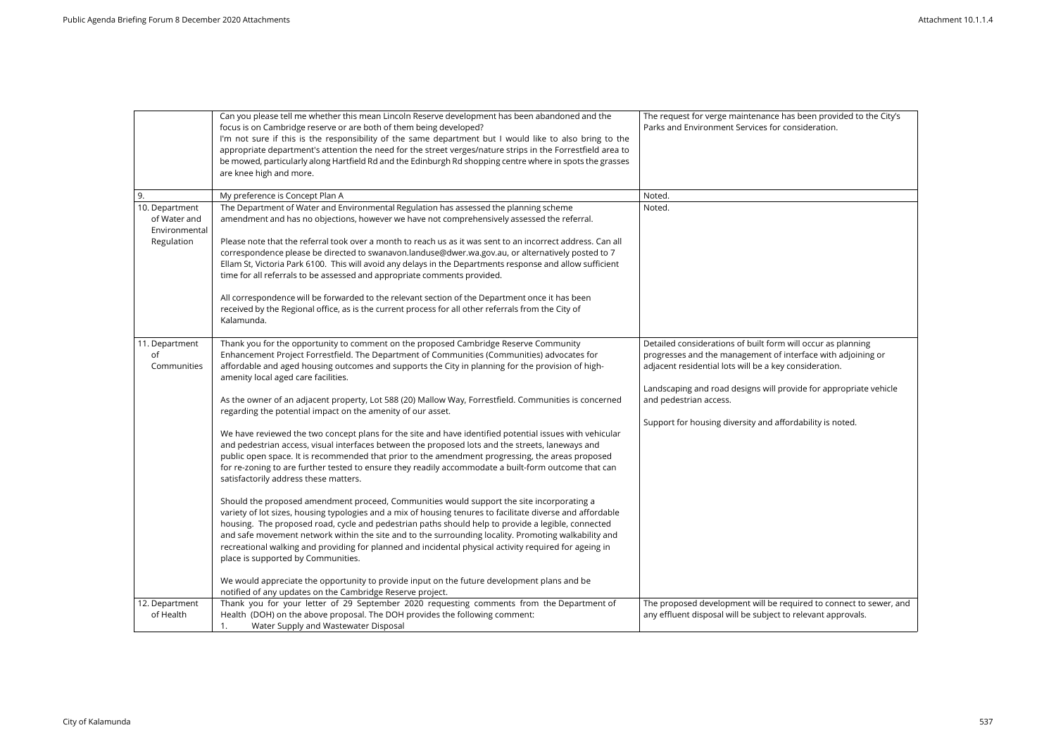|                                                               | Can you please tell me whether this mean Lincoln Reserve development has been abandoned and the<br>focus is on Cambridge reserve or are both of them being developed?<br>I'm not sure if this is the responsibility of the same department but I would like to also bring to the<br>appropriate department's attention the need for the street verges/nature strips in the Forrestfield area to<br>be mowed, particularly along Hartfield Rd and the Edinburgh Rd shopping centre where in spots the grasses<br>are knee high and more.                                                            | The request for verge maintenance has been provided to the City's<br>Parks and Environment Services for consideration.                                                                                                                                      |
|---------------------------------------------------------------|----------------------------------------------------------------------------------------------------------------------------------------------------------------------------------------------------------------------------------------------------------------------------------------------------------------------------------------------------------------------------------------------------------------------------------------------------------------------------------------------------------------------------------------------------------------------------------------------------|-------------------------------------------------------------------------------------------------------------------------------------------------------------------------------------------------------------------------------------------------------------|
| 9.                                                            | My preference is Concept Plan A                                                                                                                                                                                                                                                                                                                                                                                                                                                                                                                                                                    | Noted.                                                                                                                                                                                                                                                      |
| 10. Department<br>of Water and<br>Environmental<br>Regulation | The Department of Water and Environmental Regulation has assessed the planning scheme<br>amendment and has no objections, however we have not comprehensively assessed the referral.<br>Please note that the referral took over a month to reach us as it was sent to an incorrect address. Can all<br>correspondence please be directed to swanavon.landuse@dwer.wa.gov.au, or alternatively posted to 7<br>Ellam St, Victoria Park 6100. This will avoid any delays in the Departments response and allow sufficient<br>time for all referrals to be assessed and appropriate comments provided. | Noted.                                                                                                                                                                                                                                                      |
|                                                               | All correspondence will be forwarded to the relevant section of the Department once it has been<br>received by the Regional office, as is the current process for all other referrals from the City of<br>Kalamunda.                                                                                                                                                                                                                                                                                                                                                                               |                                                                                                                                                                                                                                                             |
| 11. Department<br>of<br>Communities                           | Thank you for the opportunity to comment on the proposed Cambridge Reserve Community<br>Enhancement Project Forrestfield. The Department of Communities (Communities) advocates for<br>affordable and aged housing outcomes and supports the City in planning for the provision of high-<br>amenity local aged care facilities.                                                                                                                                                                                                                                                                    | Detailed considerations of built form will occur as planning<br>progresses and the management of interface with adjoining or<br>adjacent residential lots will be a key consideration.<br>Landscaping and road designs will provide for appropriate vehicle |
|                                                               | As the owner of an adjacent property, Lot 588 (20) Mallow Way, Forrestfield. Communities is concerned<br>regarding the potential impact on the amenity of our asset.                                                                                                                                                                                                                                                                                                                                                                                                                               | and pedestrian access.<br>Support for housing diversity and affordability is noted.                                                                                                                                                                         |
|                                                               | We have reviewed the two concept plans for the site and have identified potential issues with vehicular<br>and pedestrian access, visual interfaces between the proposed lots and the streets, laneways and<br>public open space. It is recommended that prior to the amendment progressing, the areas proposed<br>for re-zoning to are further tested to ensure they readily accommodate a built-form outcome that can<br>satisfactorily address these matters.                                                                                                                                   |                                                                                                                                                                                                                                                             |
|                                                               | Should the proposed amendment proceed, Communities would support the site incorporating a<br>variety of lot sizes, housing typologies and a mix of housing tenures to facilitate diverse and affordable<br>housing. The proposed road, cycle and pedestrian paths should help to provide a legible, connected<br>and safe movement network within the site and to the surrounding locality. Promoting walkability and<br>recreational walking and providing for planned and incidental physical activity required for ageing in<br>place is supported by Communities.                              |                                                                                                                                                                                                                                                             |
|                                                               | We would appreciate the opportunity to provide input on the future development plans and be<br>notified of any updates on the Cambridge Reserve project.                                                                                                                                                                                                                                                                                                                                                                                                                                           |                                                                                                                                                                                                                                                             |
| 12. Department<br>of Health                                   | Thank you for your letter of 29 September 2020 requesting comments from the Department of<br>Health (DOH) on the above proposal. The DOH provides the following comment:<br>Water Supply and Wastewater Disposal<br>1.                                                                                                                                                                                                                                                                                                                                                                             | The proposed development will be required to connect to sewer, and<br>any effluent disposal will be subject to relevant approvals.                                                                                                                          |

| s been provided to the City's<br>nsideration.                      |
|--------------------------------------------------------------------|
|                                                                    |
|                                                                    |
|                                                                    |
|                                                                    |
|                                                                    |
|                                                                    |
|                                                                    |
|                                                                    |
| ill occur as planning<br>erface with adjoining or<br>onsideration. |
| vide for appropriate vehicle                                       |
| dability is noted.                                                 |
|                                                                    |
|                                                                    |
|                                                                    |
|                                                                    |
|                                                                    |
|                                                                    |
|                                                                    |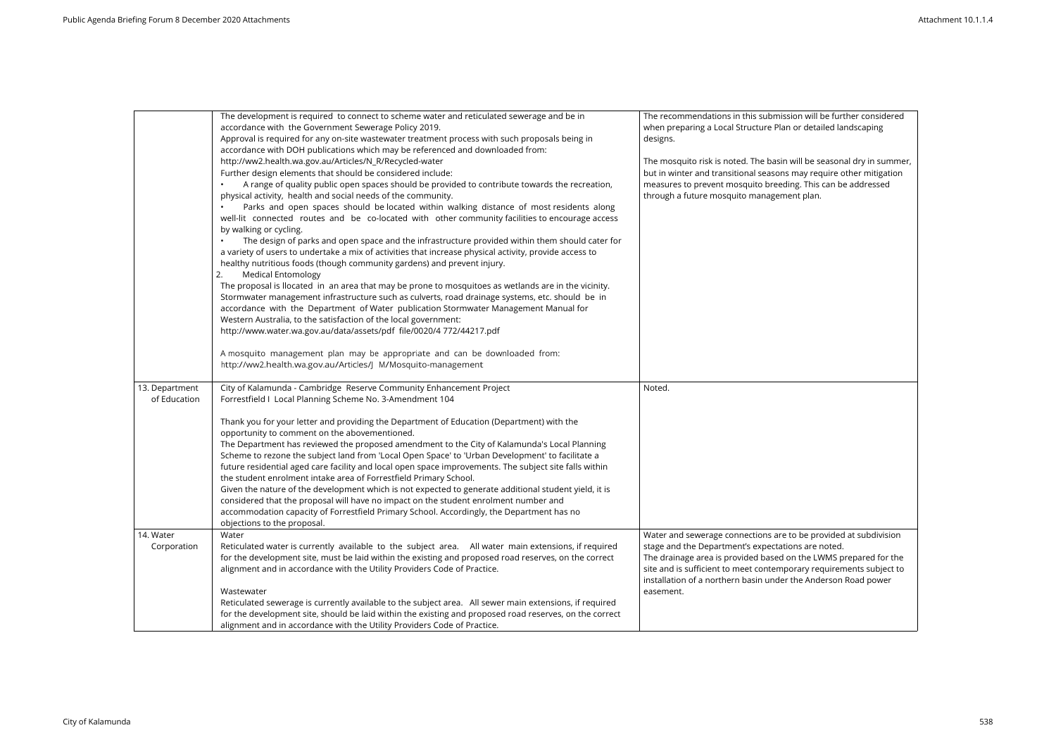|                                             | The development is required to connect to scheme water and reticulated sewerage and be in<br>accordance with the Government Sewerage Policy 2019.<br>Approval is required for any on-site wastewater treatment process with such proposals being in<br>accordance with DOH publications which may be referenced and downloaded from:<br>http://ww2.health.wa.gov.au/Articles/N_R/Recycled-water<br>Further design elements that should be considered include:<br>A range of quality public open spaces should be provided to contribute towards the recreation,<br>physical activity, health and social needs of the community.<br>Parks and open spaces should be located within walking distance of most residents along<br>well-lit connected routes and be co-located with other community facilities to encourage access<br>by walking or cycling.<br>The design of parks and open space and the infrastructure provided within them should cater for<br>a variety of users to undertake a mix of activities that increase physical activity, provide access to<br>healthy nutritious foods (though community gardens) and prevent injury.<br><b>Medical Entomology</b><br>The proposal is llocated in an area that may be prone to mosquitoes as wetlands are in the vicinity.<br>Stormwater management infrastructure such as culverts, road drainage systems, etc. should be in<br>accordance with the Department of Water publication Stormwater Management Manual for<br>Western Australia, to the satisfaction of the local government:<br>http://www.water.wa.gov.au/data/assets/pdf file/0020/4 772/44217.pdf | The recommendations in this submission will be further considered<br>when preparing a Local Structure Plan or detailed landscaping<br>designs.<br>The mosquito risk is noted. The basin will be seasonal dry in summer,<br>but in winter and transitional seasons may require other mitigation<br>measures to prevent mosquito breeding. This can be addressed<br>through a future mosquito management plan. |
|---------------------------------------------|----------------------------------------------------------------------------------------------------------------------------------------------------------------------------------------------------------------------------------------------------------------------------------------------------------------------------------------------------------------------------------------------------------------------------------------------------------------------------------------------------------------------------------------------------------------------------------------------------------------------------------------------------------------------------------------------------------------------------------------------------------------------------------------------------------------------------------------------------------------------------------------------------------------------------------------------------------------------------------------------------------------------------------------------------------------------------------------------------------------------------------------------------------------------------------------------------------------------------------------------------------------------------------------------------------------------------------------------------------------------------------------------------------------------------------------------------------------------------------------------------------------------------------------------------------------------------------------------------------------------------|--------------------------------------------------------------------------------------------------------------------------------------------------------------------------------------------------------------------------------------------------------------------------------------------------------------------------------------------------------------------------------------------------------------|
|                                             | A mosquito management plan may be appropriate and can be downloaded from:<br>http://ww2.health.wa.gov.au/Articles/J M/Mosquito-management                                                                                                                                                                                                                                                                                                                                                                                                                                                                                                                                                                                                                                                                                                                                                                                                                                                                                                                                                                                                                                                                                                                                                                                                                                                                                                                                                                                                                                                                                  |                                                                                                                                                                                                                                                                                                                                                                                                              |
| 13. Department<br>of Education<br>14. Water | City of Kalamunda - Cambridge Reserve Community Enhancement Project<br>Forrestfield I Local Planning Scheme No. 3-Amendment 104<br>Thank you for your letter and providing the Department of Education (Department) with the<br>opportunity to comment on the abovementioned.<br>The Department has reviewed the proposed amendment to the City of Kalamunda's Local Planning<br>Scheme to rezone the subject land from 'Local Open Space' to 'Urban Development' to facilitate a<br>future residential aged care facility and local open space improvements. The subject site falls within<br>the student enrolment intake area of Forrestfield Primary School.<br>Given the nature of the development which is not expected to generate additional student yield, it is<br>considered that the proposal will have no impact on the student enrolment number and<br>accommodation capacity of Forrestfield Primary School. Accordingly, the Department has no<br>objections to the proposal.<br>Water                                                                                                                                                                                                                                                                                                                                                                                                                                                                                                                                                                                                                     | Noted.<br>Water and sewerage connections are to be provided at subdivision                                                                                                                                                                                                                                                                                                                                   |
| Corporation                                 | Reticulated water is currently available to the subject area. All water main extensions, if required<br>for the development site, must be laid within the existing and proposed road reserves, on the correct<br>alignment and in accordance with the Utility Providers Code of Practice.<br>Wastewater<br>Reticulated sewerage is currently available to the subject area. All sewer main extensions, if required<br>for the development site, should be laid within the existing and proposed road reserves, on the correct<br>alignment and in accordance with the Utility Providers Code of Practice.                                                                                                                                                                                                                                                                                                                                                                                                                                                                                                                                                                                                                                                                                                                                                                                                                                                                                                                                                                                                                  | stage and the Department's expectations are noted.<br>The drainage area is provided based on the LWMS prepared for the<br>site and is sufficient to meet contemporary requirements subject to<br>installation of a northern basin under the Anderson Road power<br>easement.                                                                                                                                 |

| n will be further considered<br>r detailed landscaping                                             |
|----------------------------------------------------------------------------------------------------|
| Il be seasonal dry in summer,<br>ay require other mitigation<br>. This can be addressed<br>t plan. |
|                                                                                                    |
|                                                                                                    |
|                                                                                                    |
|                                                                                                    |
|                                                                                                    |
|                                                                                                    |
| be provided at subdivision<br>s are noted.                                                         |
| the LWMS prepared for the<br>ary requirements subject to<br>e Anderson Road power                  |
|                                                                                                    |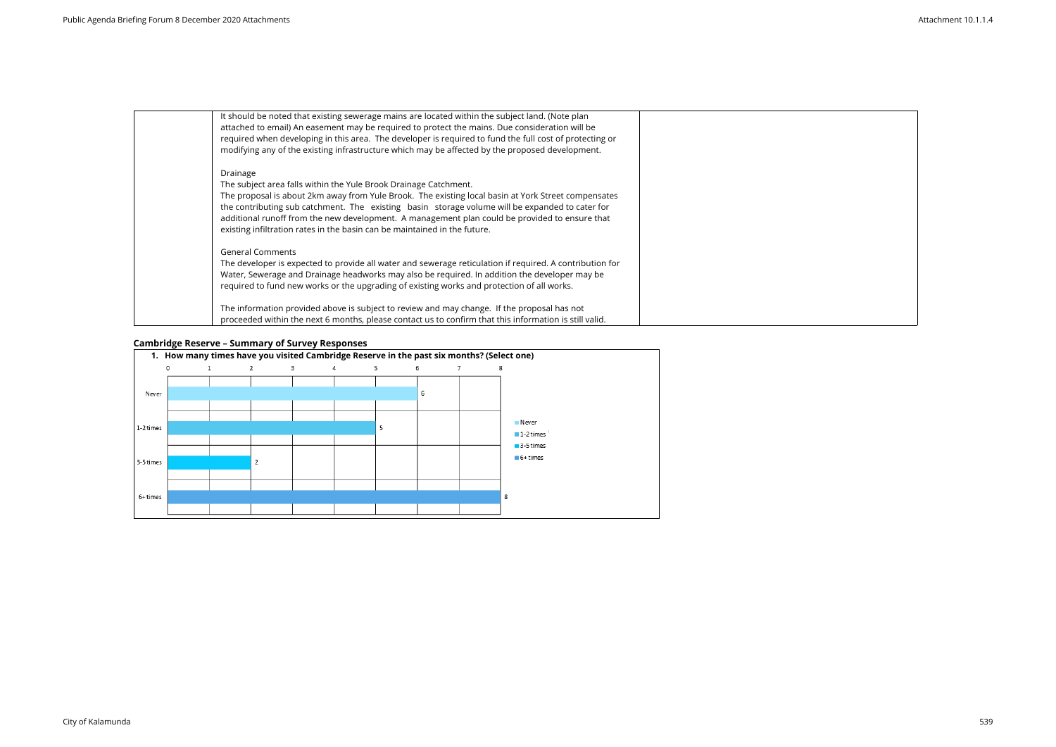| It should be noted that existing sewerage mains are located within the subject land. (Note plan<br>attached to email) An easement may be required to protect the mains. Due consideration will be<br>required when developing in this area. The developer is required to fund the full cost of protecting or<br>modifying any of the existing infrastructure which may be affected by the proposed development.                                                       |
|-----------------------------------------------------------------------------------------------------------------------------------------------------------------------------------------------------------------------------------------------------------------------------------------------------------------------------------------------------------------------------------------------------------------------------------------------------------------------|
| Drainage<br>The subject area falls within the Yule Brook Drainage Catchment.<br>The proposal is about 2km away from Yule Brook. The existing local basin at York Street compensates<br>the contributing sub catchment. The existing basin storage volume will be expanded to cater for<br>additional runoff from the new development. A management plan could be provided to ensure that<br>existing infiltration rates in the basin can be maintained in the future. |
| <b>General Comments</b><br>The developer is expected to provide all water and sewerage reticulation if required. A contribution for<br>Water, Sewerage and Drainage headworks may also be required. In addition the developer may be<br>required to fund new works or the upgrading of existing works and protection of all works.                                                                                                                                    |
| The information provided above is subject to review and may change. If the proposal has not<br>proceeded within the next 6 months, please contact us to confirm that this information is still valid.                                                                                                                                                                                                                                                                 |

# **Cambridge Reserve – Summary of Survey Responses**



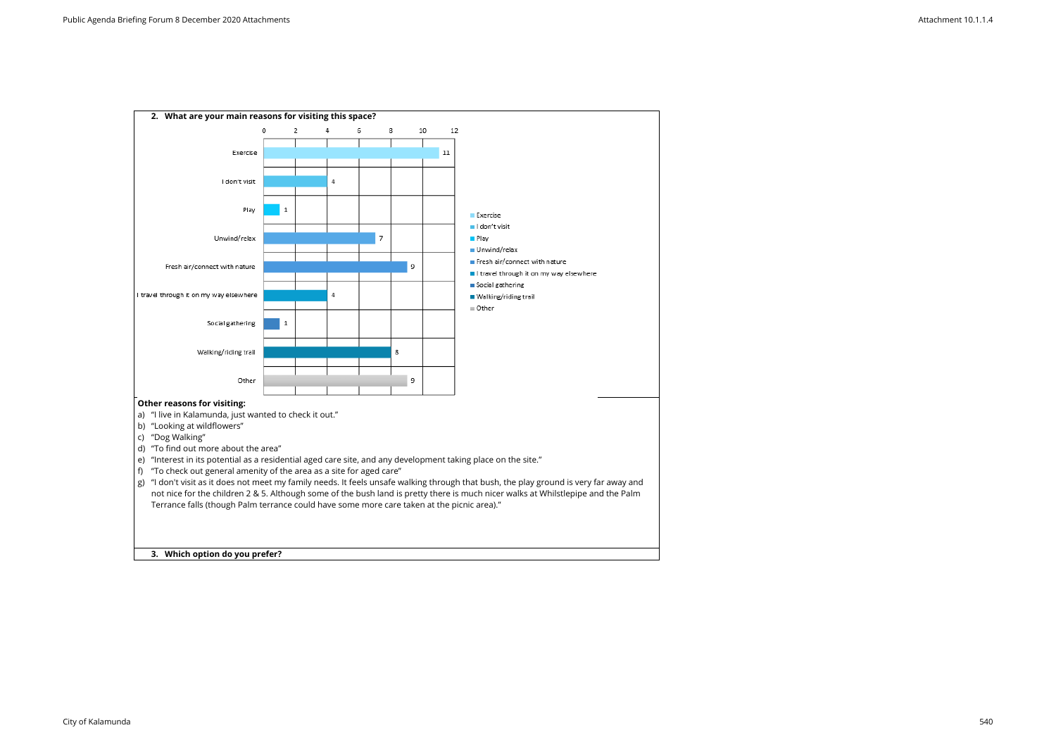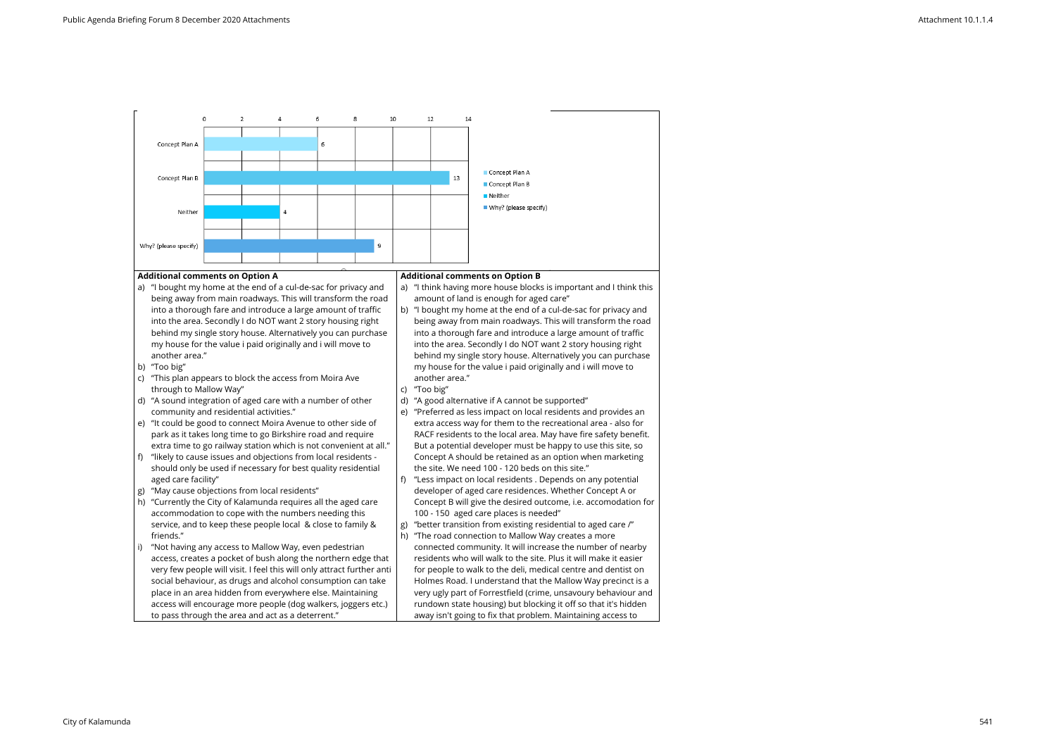#### **Additional comments on Option A**

- a) "I bought my home at the end of a cul-de-sac for privacy and being away from main roadways. This will transform the road into a thorough fare and introduce a large amount of traffic into the area. Secondly I do NOT want 2 story housing right behind my single story house. Alternatively you can purchase my house for the value i paid originally and i will move to another area."
- b) "Too big"
- c) "This plan appears to block the access from Moira Ave through to Mallow Way"
- d) "A sound integration of aged care with a number of other community and residential activities."
- e) "It could be good to connect Moira Avenue to other side of park as it takes long time to go Birkshire road and require extra time to go railway station which is not convenient at all."
- f) "likely to cause issues and objections from local residents should only be used if necessary for best quality residential aged care facility"
- g) "May cause objections from local residents"
- h) "Currently the City of Kalamunda requires all the aged care accommodation to cope with the numbers needing this service, and to keep these people local & close to family & friends."
- "Not having any access to Mallow Way, even pedestrian access, creates a pocket of bush along the northern edge that very few people will visit. I feel this will only attract further anti social behaviour, as drugs and alcohol consumption can take place in an area hidden from everywhere else. Maintaining access will encourage more people (dog walkers, joggers etc.) to pass through the area and act as a deterrent."

#### **Additional comments on Option B**

- a) "I think having more house blocks is important and I think this amount of land is enough for aged care"
- b) "I bought my home at the end of a cul-de-sac for privacy and being away from main roadways. This will transform the road into a thorough fare and introduce a large amount of traffic into the area. Secondly I do NOT want 2 story housing right behind my single story house. Alternatively you can purchase my house for the value i paid originally and i will move to another area."
- c) "Too big"
- d) "A good alternative if A cannot be supported"
- e) "Preferred as less impact on local residents and provides an extra access way for them to the recreational area - also for RACF residents to the local area. May have fire safety benefit. But a potential developer must be happy to use this site, so Concept A should be retained as an option when marketing the site. We need 100 - 120 beds on this site."
- f) "Less impact on local residents . Depends on any potential developer of aged care residences. Whether Concept A or Concept B will give the desired outcome, i.e. accomodation for 100 - 150 aged care places is needed"
- g) "better transition from existing residential to aged care /"
- h) "The road connection to Mallow Way creates a more connected community. It will increase the number of nearby residents who will walk to the site. Plus it will make it easier for people to walk to the deli, medical centre and dentist on Holmes Road. I understand that the Mallow Way precinct is a very ugly part of Forrestfield (crime, unsavoury behaviour and rundown state housing) but blocking it off so that it's hidden away isn't going to fix that problem. Maintaining access to

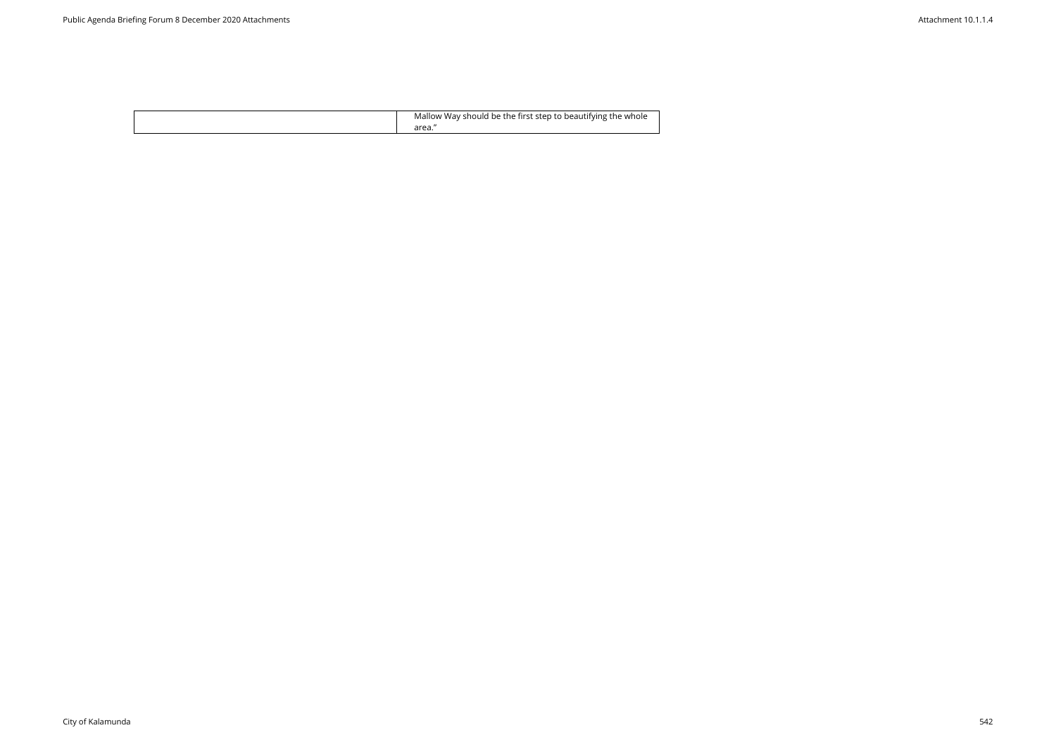| Mallow Way should be the first step to beautifying the whole |
|--------------------------------------------------------------|
|--------------------------------------------------------------|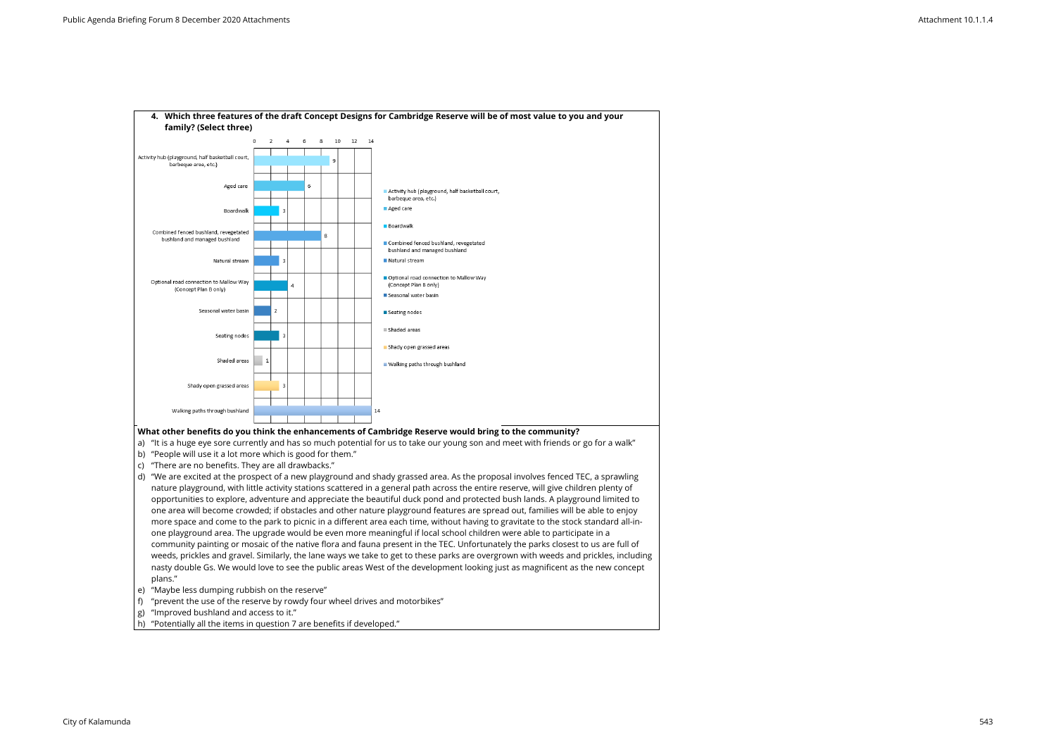

- c) "There are no benefits. They are all drawbacks."
- d) "We are excited at the prospect of a new playground and shady grassed area. As the proposal involves fenced TEC, a sprawling nature playground, with little activity stations scattered in a general path across the entire reserve, will give children plenty of opportunities to explore, adventure and appreciate the beautiful duck pond and protected bush lands. A playground limited to one area will become crowded; if obstacles and other nature playground features are spread out, families will be able to enjoy more space and come to the park to picnic in a different area each time, without having to gravitate to the stock standard all-inone playground area. The upgrade would be even more meaningful if local school children were able to participate in a community painting or mosaic of the native flora and fauna present in the TEC. Unfortunately the parks closest to us are full of weeds, prickles and gravel. Similarly, the lane ways we take to get to these parks are overgrown with weeds and prickles, including nasty double Gs. We would love to see the public areas West of the development looking just as magnificent as the new concept plans."
- e) "Maybe less dumping rubbish on the reserve"
- f) "prevent the use of the reserve by rowdy four wheel drives and motorbikes"
- g) "Improved bushland and access to it."
- h) "Potentially all the items in question 7 are benefits if developed."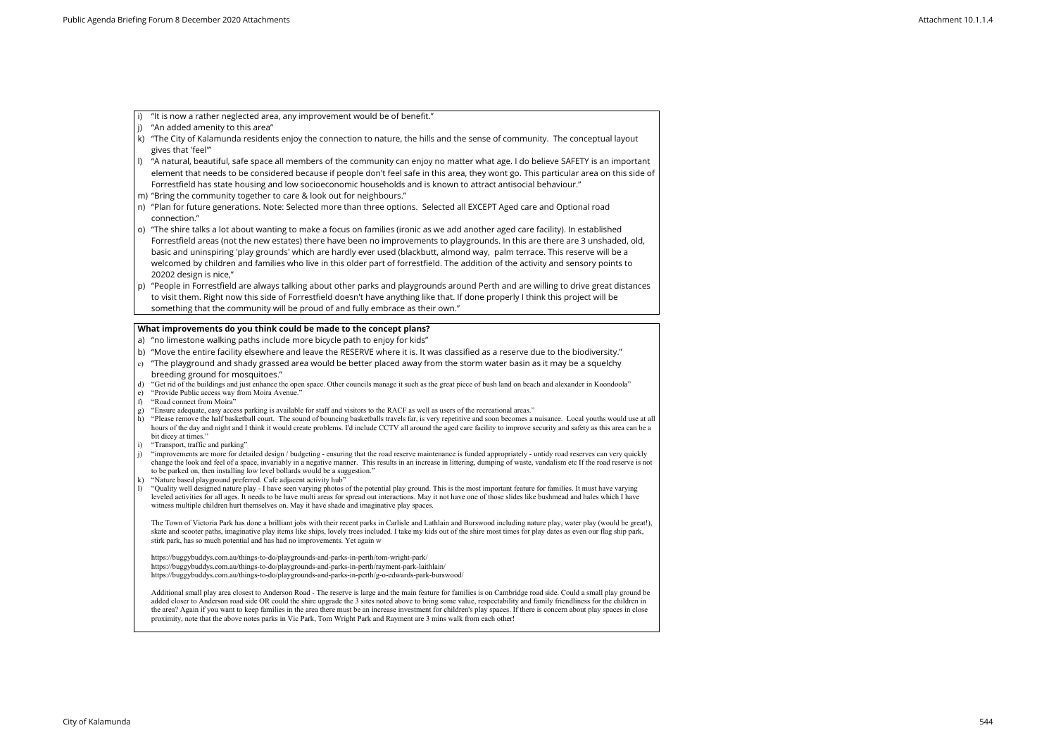- i) "It is now a rather neglected area, any improvement would be of benefit."
- $|j\rangle$  "An added amenity to this area"
- k) "The City of Kalamunda residents enjoy the connection to nature, the hills and the sense of community. The conceptual layout gives that 'feel'"
- l) "A natural, beautiful, safe space all members of the community can enjoy no matter what age. I do believe SAFETY is an important element that needs to be considered because if people don't feel safe in this area, they wont go. This particular area on this side of Forrestfield has state housing and low socioeconomic households and is known to attract antisocial behaviour."
- m) "Bring the community together to care & look out for neighbours."
- n) "Plan for future generations. Note: Selected more than three options. Selected all EXCEPT Aged care and Optional road connection."
- o) "The shire talks a lot about wanting to make a focus on families (ironic as we add another aged care facility). In established Forrestfield areas (not the new estates) there have been no improvements to playgrounds. In this are there are 3 unshaded, old, basic and uninspiring 'play grounds' which are hardly ever used (blackbutt, almond way, palm terrace. This reserve will be a welcomed by children and families who live in this older part of forrestfield. The addition of the activity and sensory points to 20202 design is nice,"
- p) "People in Forrestfield are always talking about other parks and playgrounds around Perth and are willing to drive great distances to visit them. Right now this side of Forrestfield doesn't have anything like that. If done properly I think this project will be something that the community will be proud of and fully embrace as their own."

- a) "no limestone walking paths include more bicycle path to enjoy for kids"
- b) "Move the entire facility elsewhere and leave the RESERVE where it is. It was classified as a reserve due to the biodiversity."
- $\mid$   $\rm c)$  "The playground and shady grassed area would be better placed away from the storm water basin as it may be a squelchy breeding ground for mosquitoes."
- d) "Get rid of the buildings and just enhance the open space. Other councils manage it such as the great piece of bush land on beach and alexander in Koondoola"
- e) "Provide Public access way from Moira Avenue."
- f) "Road connect from Moira"
- g) "Ensure adequate, easy access parking is available for staff and visitors to the RACF as well as users of the recreational areas."
- h) "Please remove the half basketball court. The sound of bouncing basketballs travels far, is very repetitive and soon becomes a nuisance. Local youths would use at all hours of the day and night and I think it would create problems. I'd include CCTV all around the aged care facility to improve security and safety as this area can be a bit dicey at times."
- i) "Transport, traffic and parking"
- j) "improvements are more for detailed design / budgeting ensuring that the road reserve maintenance is funded appropriately untidy road reserves can very quickly change the look and feel of a space, invariably in a negative manner. This results in an increase in littering, dumping of waste, vandalism etc If the road reserve is not to be parked on, then installing low level bollards would be a suggestion."
- k) "Nature based playground preferred. Cafe adjacent activity hub"
- l) "Quality well designed nature play I have seen varying photos of the potential play ground. This is the most important feature for families. It must have varying leveled activities for all ages. It needs to be have multi areas for spread out interactions. May it not have one of those slides like bushmead and hales which I have witness multiple children hurt themselves on. May it have shade and imaginative play spaces.

### **What improvements do you think could be made to the concept plans?**

Additional small play area closest to Anderson Road - The reserve is large and the main feature for families is on Cambridge road side. Could a small play ground be added closer to Anderson road side OR could the shire upgrade the 3 sites noted above to bring some value, respectability and family friendliness for the children in the area? Again if you want to keep families in the area there must be an increase investment for children's play spaces. If there is concern about play spaces in close proximity, note that the above notes parks in Vic Park, Tom Wright Park and Rayment are 3 mins walk from each other!

The Town of Victoria Park has done a brilliant jobs with their recent parks in Carlisle and Lathlain and Burswood including nature play, water play (would be great!), skate and scooter paths, imaginative play items like ships, lovely trees included. I take my kids out of the shire most times for play dates as even our flag ship park, stirk park, has so much potential and has had no improvements. Yet again w

https://buggybuddys.com.au/things-to-do/playgrounds-and-parks-in-perth/tom-wright-park/ https://buggybuddys.com.au/things-to-do/playgrounds-and-parks-in-perth/rayment-park-laithlain/ https://buggybuddys.com.au/things-to-do/playgrounds-and-parks-in-perth/g-o-edwards-park-burswood/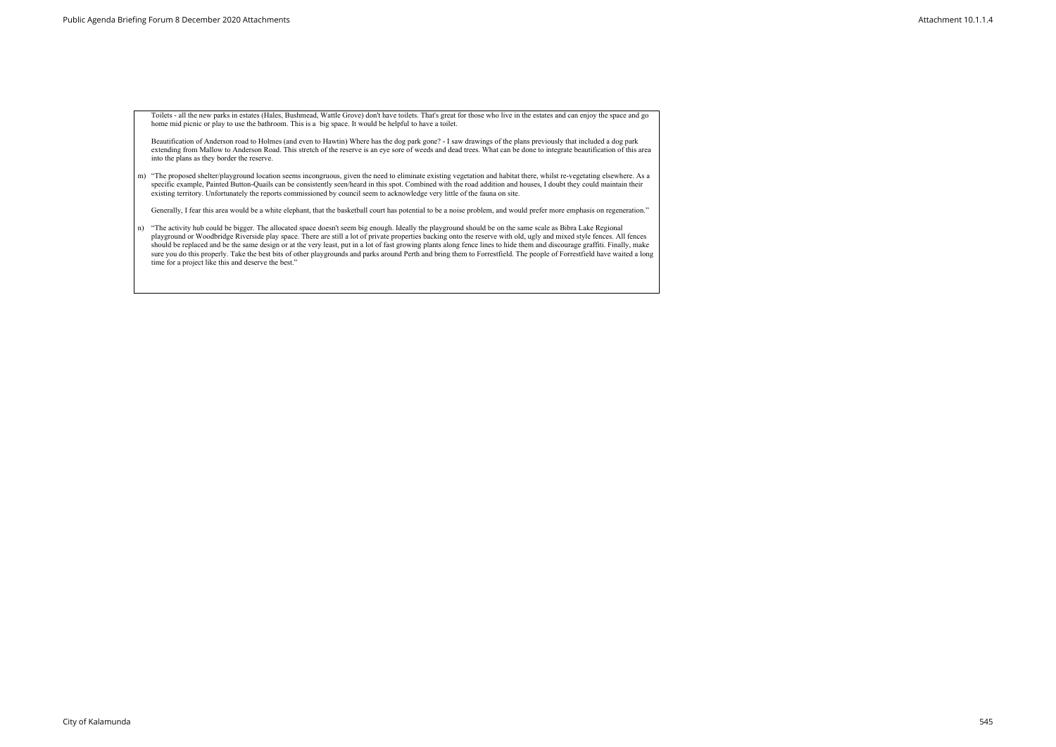Toilets - all the new parks in estates (Hales, Bushmead, Wattle Grove) don't have toilets. That's great for those who live in the estates and can enjoy the space and go home mid picnic or play to use the bathroom. This is a big space. It would be helpful to have a toilet.

Beautification of Anderson road to Holmes (and even to Hawtin) Where has the dog park gone? - I saw drawings of the plans previously that included a dog park extending from Mallow to Anderson Road. This stretch of the reserve is an eye sore of weeds and dead trees. What can be done to integrate beautification of this area into the plans as they border the reserve.

m) "The proposed shelter/playground location seems incongruous, given the need to eliminate existing vegetation and habitat there, whilst re-vegetating elsewhere. As a specific example, Painted Button-Quails can be consistently seen/heard in this spot. Combined with the road addition and houses, I doubt they could maintain their existing territory. Unfortunately the reports commissioned by council seem to acknowledge very little of the fauna on site.

Generally, I fear this area would be a white elephant, that the basketball court has potential to be a noise problem, and would prefer more emphasis on regeneration."

n) "The activity hub could be bigger. The allocated space doesn't seem big enough. Ideally the playground should be on the same scale as Bibra Lake Regional playground or Woodbridge Riverside play space. There are still a lot of private properties backing onto the reserve with old, ugly and mixed style fences. All fences should be replaced and be the same design or at the very least, put in a lot of fast growing plants along fence lines to hide them and discourage graffiti. Finally, make sure you do this properly. Take the best bits of other playgrounds and parks around Perth and bring them to Forrestfield. The people of Forrestfield have waited a long time for a project like this and deserve the best."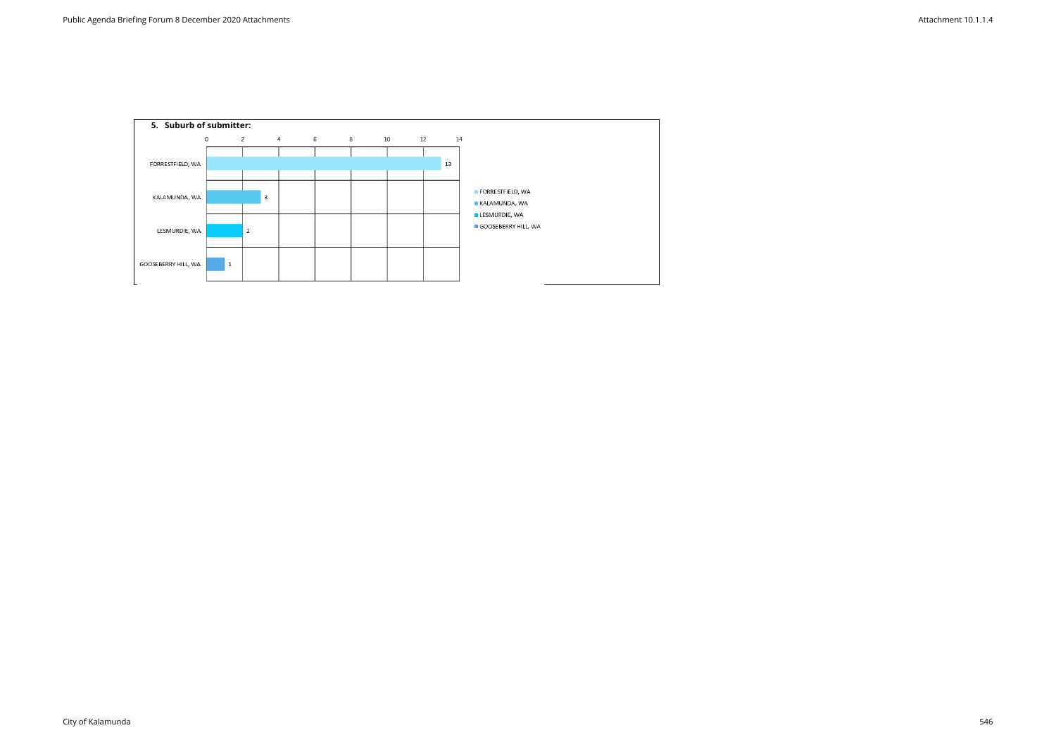